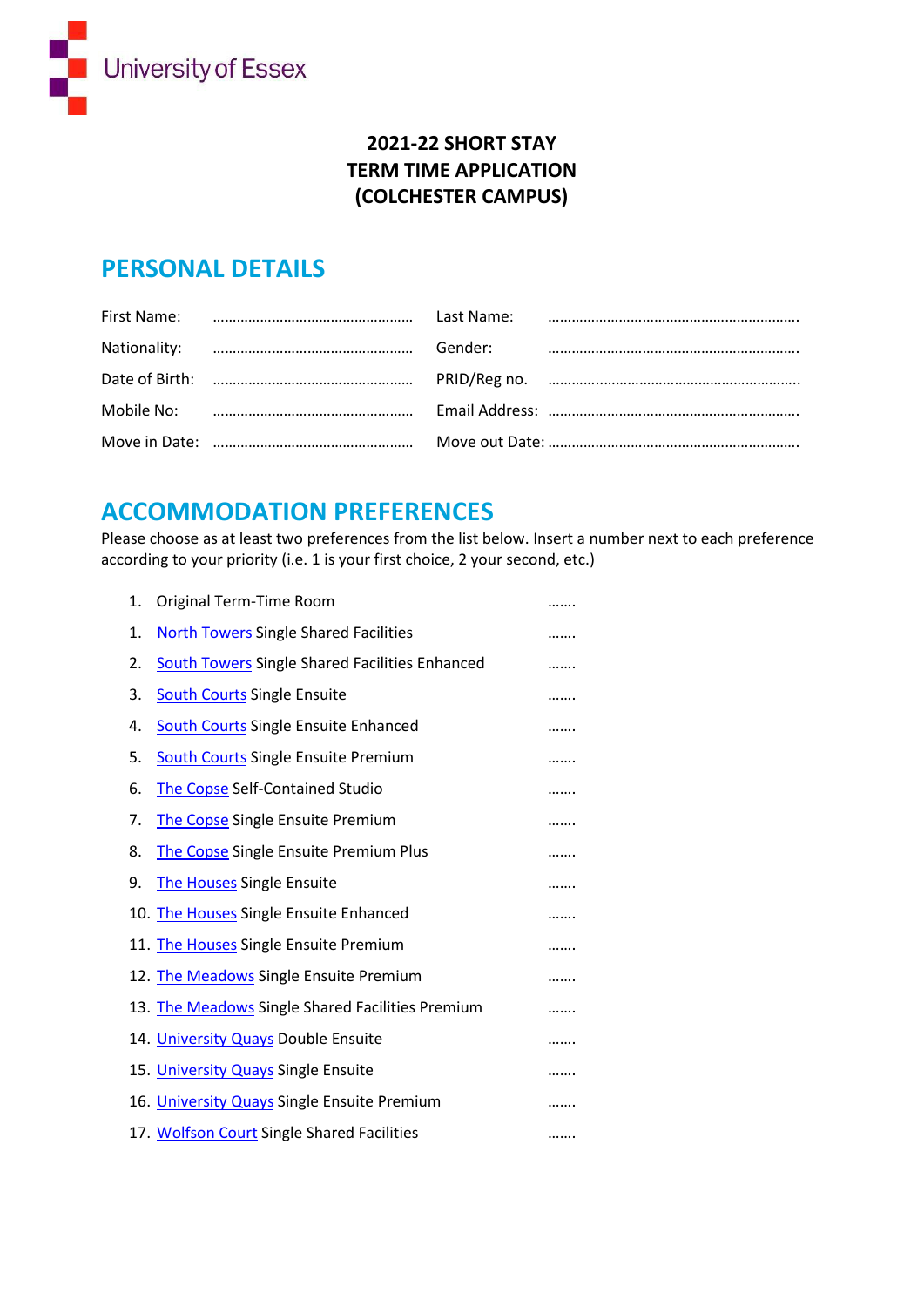

### **2021-22 SHORT STAY TERM TIME APPLICATION (COLCHESTER CAMPUS)**

### **PERSONAL DETAILS**

|  | Gender: |  |
|--|---------|--|
|  |         |  |
|  |         |  |
|  |         |  |

## **ACCOMMODATION PREFERENCES**

Please choose as at least two preferences from the list below. Insert a number next to each preference according to your priority (i.e. 1 is your first choice, 2 your second, etc.)

| 1. | Original Term-Time Room                               |   |
|----|-------------------------------------------------------|---|
| 1. | <b>North Towers Single Shared Facilities</b>          |   |
| 2. | <b>South Towers Single Shared Facilities Enhanced</b> |   |
| 3. | <b>South Courts Single Ensuite</b>                    |   |
| 4. | <b>South Courts Single Ensuite Enhanced</b>           |   |
| 5. | <b>South Courts Single Ensuite Premium</b>            |   |
| 6. | The Copse Self-Contained Studio                       |   |
| 7. | The Copse Single Ensuite Premium                      |   |
| 8. | The Copse Single Ensuite Premium Plus                 |   |
| 9. | <b>The Houses Single Ensuite</b>                      |   |
|    | 10. The Houses Single Ensuite Enhanced                |   |
|    | 11. The Houses Single Ensuite Premium                 |   |
|    | 12. The Meadows Single Ensuite Premium                |   |
|    | 13. The Meadows Single Shared Facilities Premium      |   |
|    | 14. <b>University Quays Double Ensuite</b>            | . |
|    | 15. University Quays Single Ensuite                   |   |
|    | 16. University Quays Single Ensuite Premium           | . |
|    | 17. Wolfson Court Single Shared Facilities            |   |